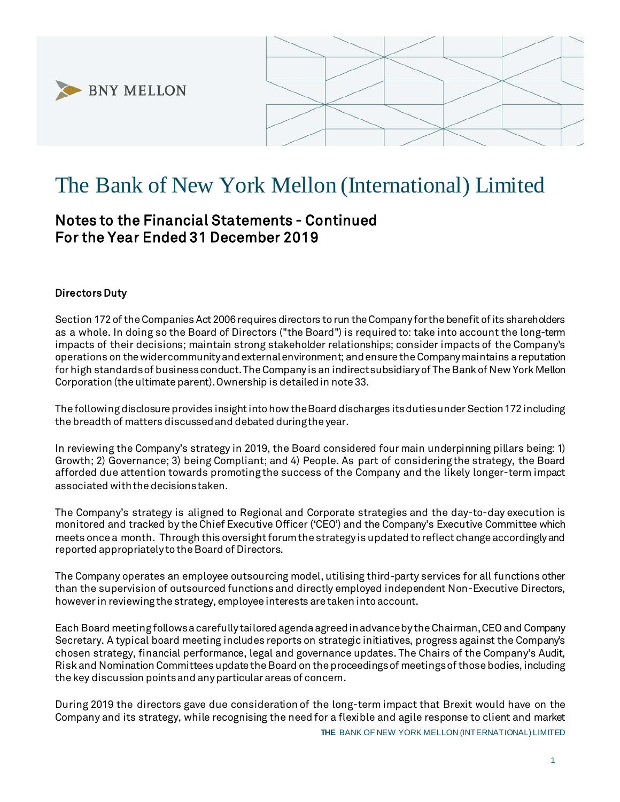



# The Bank of New York Mellon (International) Limited

# Notes to the Financial Statements - Continued For the Year Ended 31 December 2019

## Directors Duty

Section 172 of the Companies Act 2006 requires directors to run the Company for the benefit of its shareholders as a whole. In doing so the Board of Directors ("the Board") is required to: take into account the long-term impacts of their decisions; maintain strong stakeholder relationships; consider impacts of the Company's operations on the wider community and external environment; and ensure the Company maintains a reputation for high standards of business conduct. The Company is an indirect subsidiary of The Bank of New York Mellon Corporation (the ultimate parent). Ownership is detailed in note 33.

The following disclosure provides insight into how the Board discharges its duties under Section 172 including the breadth of matters discussed and debated during the year.

In reviewing the Company's strategy in 2019, the Board considered four main underpinning pillars being: 1) Growth; 2) Governance; 3) being Compliant; and 4) People. As part of considering the strategy, the Board afforded due attention towards promoting the success of the Company and the likely longer-term impact associated with the decisions taken.

The Company's strategy is aligned to Regional and Corporate strategies and the day-to-day execution is monitored and tracked by the Chief Executive Officer ('CEO') and the Company's Executive Committee which meets once a month. Through this oversight forum the strategy is updated to reflect change accordingly and reported appropriately to the Board of Directors.

The Company operates an employee outsourcing model, utilising third-party services for all functions other than the supervision of outsourced functions and directly employed independent Non-Executive Directors, however in reviewing the strategy, employee interests are taken into account.

Each Board meeting follows a carefully tailored agenda agreed in advance by the Chairman, CEO and Company Secretary. A typical board meeting includes reports on strategic initiatives, progress against the Company's chosen strategy, financial performance, legal and governance updates. The Chairs of the Company's Audit, Risk and Nomination Committees update the Board on the proceedings of meetings of those bodies, including the key discussion points and any particular areas of concern.

During 2019 the directors gave due consideration of the long-term impact that Brexit would have on the Company and its strategy, while recognising the need for a flexible and agile response to client and market

**THE** BANK OF NEW YORK MELLON (INTERNATIONAL) LIMITED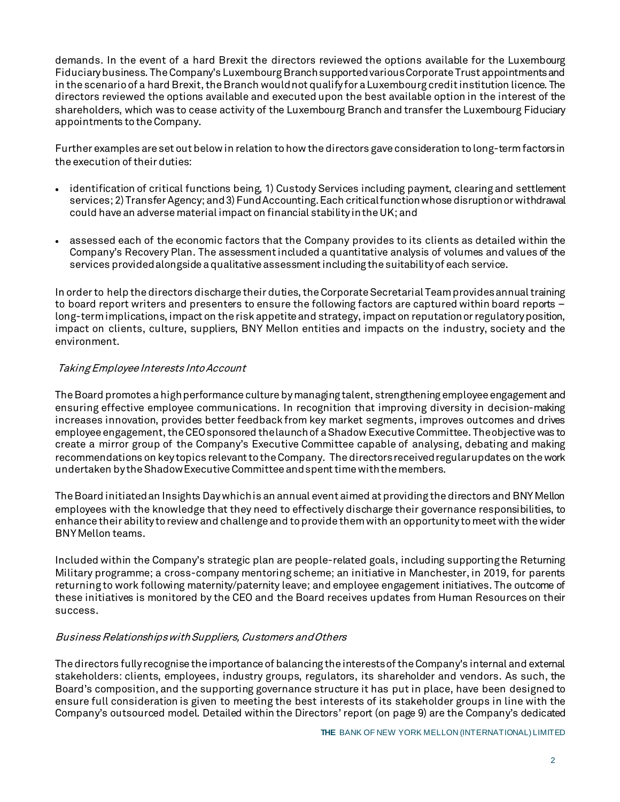demands. In the event of a hard Brexit the directors reviewed the options available for the Luxembourg Fiduciary business. The Company's Luxembourg Branch supported various Corporate Trust appointments and in the scenario of a hard Brexit, the Branch would not qualify for a Luxembourg credit institution licence. The directors reviewed the options available and executed upon the best available option in the interest of the shareholders, which was to cease activity of the Luxembourg Branch and transfer the Luxembourg Fiduciary appointments to the Company.

Further examples are set out below in relation to how the directors gave consideration to long-term factors in the execution of their duties:

- identification of critical functions being, 1) Custody Services including payment, clearing and settlement services; 2) Transfer Agency; and 3) Fund Accounting. Each critical function whose disruption or withdrawal could have an adverse material impact on financial stability in the UK; and
- assessed each of the economic factors that the Company provides to its clients as detailed within the Company's Recovery Plan. The assessment included a quantitative analysis of volumes and values of the services provided alongside a qualitative assessment including the suitability of each service.

In order to help the directors discharge their duties, the Corporate Secretarial Team provides annual training to board report writers and presenters to ensure the following factors are captured within board reports – long-term implications, impact on the risk appetite and strategy, impact on reputation or regulatory position, impact on clients, culture, suppliers, BNY Mellon entities and impacts on the industry, society and the environment.

### Taking Employee Interests Into Account

The Board promotes a high performance culture by managing talent, strengthening employee engagement and ensuring effective employee communications. In recognition that improving diversity in decision-making increases innovation, provides better feedback from key market segments, improves outcomes and drives employee engagement, the CEO sponsored the launch of a Shadow Executive Committee. The objective was to create a mirror group of the Company's Executive Committee capable of analysing, debating and making recommendations on key topics relevant to the Company. The directors received regular updates on the work undertaken by the Shadow Executive Committee and spent time with the members.

The Board initiated an Insights Day which is an annual event aimed at providing the directors and BNY Mellon employees with the knowledge that they need to effectively discharge their governance responsibilities, to enhance their ability to review and challenge and to provide them with an opportunity to meet with the wider BNY Mellon teams.

Included within the Company's strategic plan are people-related goals, including supporting the Returning Military programme; a cross-company mentoring scheme; an initiative in Manchester, in 2019, for parents returning to work following maternity/paternity leave; and employee engagement initiatives. The outcome of these initiatives is monitored by the CEO and the Board receives updates from Human Resources on their success.

#### Business Relationships with Suppliers, Customers and Others

The directors fully recognise the importance of balancing the interests of the Company's internal and external stakeholders: clients, employees, industry groups, regulators, its shareholder and vendors. As such, the Board's composition, and the supporting governance structure it has put in place, have been designed to ensure full consideration is given to meeting the best interests of its stakeholder groups in line with the Company's outsourced model. Detailed within the Directors' report (on page 9) are the Company's dedicated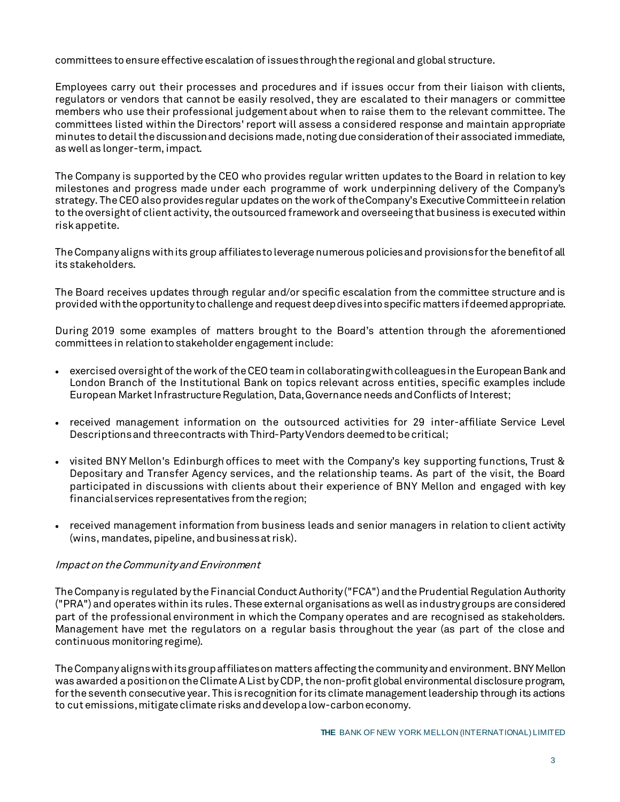committees to ensure effective escalation of issues through the regional and global structure.

Employees carry out their processes and procedures and if issues occur from their liaison with clients, regulators or vendors that cannot be easily resolved, they are escalated to their managers or committee members who use their professional judgement about when to raise them to the relevant committee. The committees listed within the Directors' report will assess a considered response and maintain appropriate minutes to detail the discussion and decisions made, noting due consideration of their associated immediate, as well as longer-term, impact.

The Company is supported by the CEO who provides regular written updates to the Board in relation to key milestones and progress made under each programme of work underpinning delivery of the Company's strategy. The CEO also provides regular updates on the work of the Company's Executive Committee in relation to the oversight of client activity, the outsourced framework and overseeing that business is executed within risk appetite.

The Company aligns with its group affiliates to leverage numerous policies and provisions for the benefit of all its stakeholders.

The Board receives updates through regular and/or specific escalation from the committee structure and is provided with the opportunity to challenge and request deep dives into specific matters if deemed appropriate.

During 2019 some examples of matters brought to the Board's attention through the aforementioned committees in relation to stakeholder engagement include:

- exercised oversight of the work of the CEO team in collaborating with colleagues in the European Bank and London Branch of the Institutional Bank on topics relevant across entities, specific examples include European Market Infrastructure Regulation, Data, Governance needs and Conflicts of Interest;
- received management information on the outsourced activities for 29 inter-affiliate Service Level Descriptions and three contracts with Third-Party Vendors deemed to be critical;
- visited BNY Mellon's Edinburgh offices to meet with the Company's key supporting functions, Trust & Depositary and Transfer Agency services, and the relationship teams. As part of the visit, the Board participated in discussions with clients about their experience of BNY Mellon and engaged with key financial services representatives from the region;
- received management information from business leads and senior managers in relation to client activity (wins, mandates, pipeline, and business at risk).

#### Impact on the Community and Environment

The Company is regulated by the Financial Conduct Authority ("FCA") and the Prudential Regulation Authority ("PRA") and operates within its rules. These external organisations as well as industry groups are considered part of the professional environment in which the Company operates and are recognised as stakeholders. Management have met the regulators on a regular basis throughout the year (as part of the close and continuous monitoring regime).

The Company aligns with its group affiliates on matters affecting the community and environment. BNY Mellon was awarded a position on the Climate A List by CDP, the non-profit global environmental disclosure program, for the seventh consecutive year. This is recognition for its climate management leadership through its actions to cut emissions, mitigate climate risks and develop a low-carbon economy.